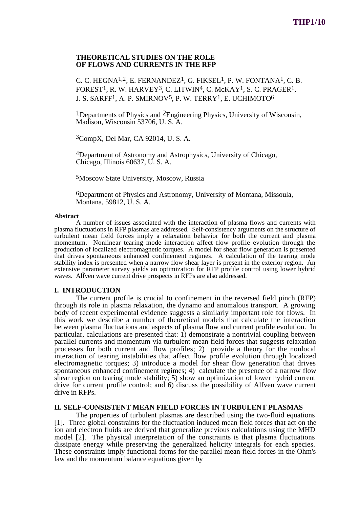## **THEORETICAL STUDIES ON THE ROLE OF FLOWS AND CURRENTS IN THE RFP**

C. C. HEGNA<sup>1,2</sup>, E. FERNANDEZ<sup>1</sup>, G. FIKSEL<sup>1</sup>, P. W. FONTANA<sup>1</sup>, C. B. FOREST<sup>1</sup>, R. W. HARVEY<sup>3</sup>, C. LITWIN<sup>4</sup>, C. McKAY<sup>1</sup>, S. C. PRAGER<sup>1</sup>, J. S. SARFF1, A. P. SMIRNOV5, P. W. TERRY1, E. UCHIMOTO6

1Departments of Physics and 2Engineering Physics, University of Wisconsin, Madison, Wisconsin 53706, U. S. A.

3CompX, Del Mar, CA 92014, U. S. A.

4Department of Astronomy and Astrophysics, University of Chicago, Chicago, Illinois 60637, U. S. A.

5Moscow State University, Moscow, Russia

6Department of Physics and Astronomy, University of Montana, Missoula, Montana, 59812, U. S. A.

#### **Abstract**

A number of issues associated with the interaction of plasma flows and currents with plasma fluctuations in RFP plasmas are addressed. Self-consistency arguments on the structure of turbulent mean field forces imply a relaxation behavior for both the current and plasma momentum. Nonlinear tearing mode interaction affect flow profile evolution through the production of localized electromagnetic torques. A model for shear flow generation is presented that drives spontaneous enhanced confinement regimes. A calculation of the tearing mode stability index is presented when a narrow flow shear layer is present in the exterior region. An extensive parameter survey yields an optimization for RFP profile control using lower hybrid waves. Alfven wave current drive prospects in RFPs are also addressed.

#### **I. INTRODUCTION**

The current profile is crucial to confinement in the reversed field pinch (RFP) through its role in plasma relaxation, the dynamo and anomalous transport. A growing body of recent experimental evidence suggests a similarly important role for flows. In this work we describe a number of theoretical models that calculate the interaction between plasma fluctuations and aspects of plasma flow and current profile evolution. In particular, calculations are presented that:  $\overline{1}$ ) demonstrate a nontrivial coupling between parallel currents and momentum via turbulent mean field forces that suggests relaxation processes for both current and flow profiles; 2) provide a theory for the nonlocal interaction of tearing instabilities that affect flow profile evolution through localized electromagnetic torques; 3) introduce a model for shear flow generation that drives spontaneous enhanced confinement regimes; 4) calculate the presence of a narrow flow shear region on tearing mode stability; 5) show an optimization of lower hydrid current drive for current profile control; and 6) discuss the possibility of Alfven wave current drive in RFPs.

#### **II. SELF-CONSISTENT MEAN FIELD FORCES IN TURBULENT PLASMAS**

The properties of turbulent plasmas are described using the two-fluid equations [1]. Three global constraints for the fluctuation induced mean field forces that act on the ion and electron fluids are derived that generalize previous calculations using the MHD model [2]. The physical interpretation of the constraints is that plasma fluctuations dissipate energy while preserving the generalized helicity integrals for each species. These constraints imply functional forms for the parallel mean field forces in the Ohm's law and the momentum balance equations given by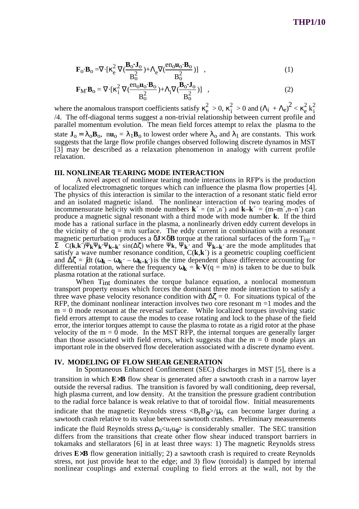$$
\mathbf{F}_0 \cdot \mathbf{B}_0 = \nabla \cdot [\kappa_e^2 \nabla (\frac{\mathbf{B}_0 \cdot \mathbf{J}_0}{B_0^2}) + \Lambda_e \nabla (\frac{en_0 \mathbf{u}_0 \cdot \mathbf{B}_0}{B_0^2})] , \qquad (1)
$$

$$
\mathbf{F}_{\mathbf{M}} \cdot \mathbf{B}_{o} = \nabla \cdot [\kappa_{i}^{2} \nabla (\frac{\mathbf{e}_{o} \mathbf{u}_{o} \cdot \mathbf{B}_{o}}{B_{o}^{2}}) + \Lambda_{i} \nabla (\frac{\mathbf{B}_{o} \cdot \mathbf{J}_{o}}{B_{o}^{2}})] , \qquad (2)
$$

where the anomalous transport coefficients satisfy  $\kappa_e^2 > 0$ ,  $\kappa_i^2 > 0$  and  $(\Lambda_i + \Lambda_e)^2 < \kappa_e^2 k_i^2$ /4. The off-diagonal terms suggest a non-trivial relationship between current profile and parallel momentum evolution. The mean field forces attempt to relax the plasma to the state  $J_0 = \lambda_0 B_0$ ,  $nu_0 = \lambda_1 B_0$  to lowest order where  $\lambda_0$  and  $\lambda_1$  are constants. This work suggests that the large flow profile changes observed following discrete dynamos in MST [3] may be described as a relaxation phenomenon in analogy with current profile relaxation.

#### **III. NONLINEAR TEARING MODE INTERACTION**

A novel aspect of nonlinear tearing mode interactions in RFP's is the production of localized electromagnetic torques which can influence the plasma flow properties [4]. The physics of this interaction is similar to the interaction of a resonant static field error and an isolated magnetic island. The nonlinear interaction of two tearing modes of incommensurate helicity with mode numbers  $\mathbf{k}' = (\text{m}', \text{n}')$  and  $\mathbf{k}-\mathbf{k}' = (\text{m}-\text{m}', \text{n}-\text{n}')$  can produce a magnetic signal resonant with a third mode with mode number **k**. If the third mode has a rational surface in the plasma, a nonlinearly driven eddy current develops in the vicinity of the  $q = m/n$  surface. The eddy current in combination with a resonant magnetic perturbation produces a  $\delta$ **J**×  $\delta$ **B** torque at the rational surfaces of the form T<sub>int</sub> =  $\Sigma$  C(**k**,**k**<sup>′)ψ</sup>**k**<sup>Ψ</sup>**k**<sup>*w*</sup>**k**<sub>**k**<sup>*k*</sup> sin(∆ζ) where Ψ**k**, Ψ**<sub>k</sub>**<sup>*'*</sup> and Ψ<sub>**k**–**k**<sup>*'*</sup> are the mode amplitudes that</sub></sub> satisfy a wave number resonance condition,  $C(k, k')$  is a geometric coupling coefficient and  $\Delta \zeta = \int dt (\omega_{\bf k} - \omega_{\bf k} - \omega_{\bf k-k})$  is the time dependent phase difference accounting for differential rotation, where the frequency  $\omega_{\mathbf{k}} = \mathbf{k} \cdot \mathbf{V}(\mathbf{q} = \mathbf{m}/\mathbf{n})$  is taken to be due to bulk plasma rotation at the rational surface.

When T<sub>int</sub> dominates the torque balance equation, a nonlocal momentum transport property ensues which forces the dominant three mode interaction to satisfy a three wave phase velocity resonance condition with  $\Delta \zeta = 0$ . For situations typical of the RFP, the dominant nonlinear interaction involves two core resonant  $m = 1$  modes and the  $m = 0$  mode resonant at the reversal surface. While localized torques involving static field errors attempt to cause the modes to cease rotating and lock to the phase of the field error, the interior torques attempt to cause the plasma to rotate as a rigid rotor at the phase velocity of the  $m = 0$  mode. In the MST RFP, the internal torques are generally larger than those associated with field errors, which suggests that the  $m = 0$  mode plays an important role in the observed flow deceleration associated with a discrete dynamo event.

## **IV. MODELING OF FLOW SHEAR GENERATION**

In Spontaneous Enhanced Confinement (SEC) discharges in MST [5], there is a transition in which **E**×**B** flow shear is generated after a sawtooth crash in a narrow layer outside the reversal radius. The transition is favored by wall conditioning, deep reversal, high plasma current, and low density. At the transition the pressure gradient contribution to the radial force balance is weak relative to that of toroidal flow. Initial measurements indicate that the magnetic Reynolds stress  $\langle B_r B_\phi \rangle / \mu_0$  can become larger during a sawtooth crash relative to its value between sawtooth crashes. Preliminary measurements indicate the fluid Reynolds stress  $\rho_0 \langle u_\text{r} u_0 \rangle$  is considerably smaller. The SEC transition differs from the transitions that create other flow shear induced transport barriers in tokamaks and stellarators [6] in at least three ways: 1) The magnetic Reynolds stress drives **E**×**B** flow generation initially; 2) a sawtooth crash is required to create Reynolds stress, not just provide heat to the edge; and 3) flow (toroidal) is damped by internal nonlinear couplings and external coupling to field errors at the wall, not by the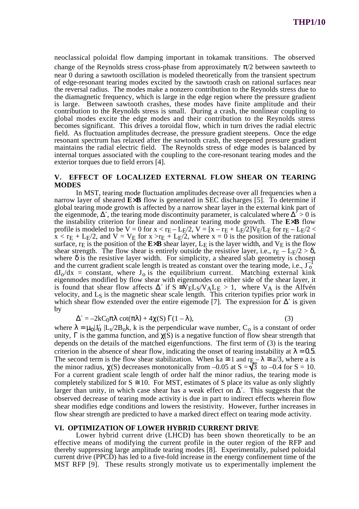neoclassical poloidal flow damping important in tokamak transitions. The observed change of the Reynolds stress cross-phase from approximately  $\pi/2$  between sawteeth to near 0 during a sawtooth oscillation is modeled theoretically from the transient spectrum of edge-resonant tearing modes excited by the sawtooth crash on rational surfaces near the reversal radius. The modes make a nonzero contribution to the Reynolds stress due to the diamagnetic frequency, which is large in the edge region where the pressure gradient is large. Between sawtooth crashes, these modes have finite amplitude and their contribution to the Reynolds stress is small. During a crash, the nonlinear coupling to global modes excite the edge modes and their contribution to the Reynolds stress becomes significant. This drives a toroidal flow, which in turn drives the radial electric field. As fluctuation amplitudes decrease, the pressure gradient steepens. Once the edge resonant spectrum has relaxed after the sawtooth crash, the steepened pressure gradient maintains the radial electric field. The Reynolds stress of edge modes is balanced by internal torques associated with the coupling to the core-resonant tearing modes and the exterior torques due to field errors [4].

# **V. EFFECT OF LOCALIZED EXTERNAL FLOW SHEAR ON TEARING MODES**

In MST, tearing mode fluctuation amplitudes decrease over all frequencies when a narrow layer of sheared **E**×**B** flow is generated in SEC discharges [5]. To determine if global tearing mode growth is affected by a narrow shear layer in the external kink part of the eigenmode,  $\Delta'$ , the tearing mode discontinuity parameter, is calculated where  $\Delta^2 > 0$  is the instability criterion for linear and nonlinear tearing mode growth. The **E**×**B** flow profile is modeled to be V = 0 for  $x < r_E - L_E/2$ , V =  $[x - r_E + L_E/2]V_E/L_E$  for  $r_E - L_E/2$  <  $x < r_E + L_F/2$ , and  $V = V_E$  for  $x > r_E + L_F/2$ , where  $x = 0$  is the position of the rational surface,  $r_E$  is the position of the  $E \times B$  shear layer,  $L_E$  is the layer width, and  $V_E$  is the flow shear strength. The flow shear is entirely outside the resistive layer, i.e.,  $r_E - L_E/2 > \delta$ , where  $\delta$  is the resistive layer width. For simplicity, a sheared slab geometry is chosen and the current gradient scale length is treated as constant over the tearing mode, i.e.,  $J_0^{-1}$  $dJ<sub>0</sub>/dx$  = constant, where  $J<sub>0</sub>$  is the equilibrium current. Matching external kink eigenmodes modified by flow shear with eigenmodes on either side of the shear layer, it is found that shear flow affects  $\Delta'$  if  $S = V_E L_S/V_A L_E > 1$ , where  $V_A$  is the Alfvén velocity, and L<sub>S</sub> is the magnetic shear scale length. This criterion typifies prior work in which shear flow extended over the entire eigemode [7]. The expression for  $\Delta'$  is given by

$$
\Delta' = -2kC_0\pi\lambda \cot(\pi\lambda) + 4\chi(S)\Gamma(1-\lambda),\tag{3}
$$

where  $\lambda = \mu_0 | J'_0 | L_s / 2B_0 k$ , k is the perpendicular wave number, C<sub>0</sub> is a constant of order unity,  $\Gamma$  is the gamma function, and  $\chi(S)$  is a negative function of flow shear strength that depends on the details of the matched eigenfunctions. The first term of (3) is the tearing criterion in the absence of shear flow, indicating the onset of tearing instability at  $\lambda = 0.5$ . The second term is the flow shear stabilization. When ka  $\approx 1$  and r<sub>E</sub> $-\lambda \approx a/3$ , where a is the minor radius,  $\chi(S)$  decreases monotonically from –0.05 at  $S = \sqrt{3}$  to –0.4 for  $S = 10$ . For a current gradient scale length of order half the minor radius, the tearing mode is completely stabilized for  $S \cong 10$ . For MST, estimates of S place its value as only slightly larger than unity, in which case shear has a weak effect on  $\Delta'$ . This suggests that the observed decrease of tearing mode activity is due in part to indirect effects wherein flow shear modifies edge conditions and lowers the resistivity. However, further increases in flow shear strength are predicted to have a marked direct effect on tearing mode activity.

### **VI. OPTIMIZATION OF LOWER HYBRID CURRENT DRIVE**

Lower hybrid current drive (LHCD) has been shown theoretically to be an effective means of modifying the current profile in the outer region of the RFP and thereby suppressing large amplitude tearing modes [8]. Experimentally, pulsed poloidal current drive (PPCD) has led to a five-fold increase in the energy confinement time of the MST RFP [9]. These results strongly motivate us to experimentally implement the